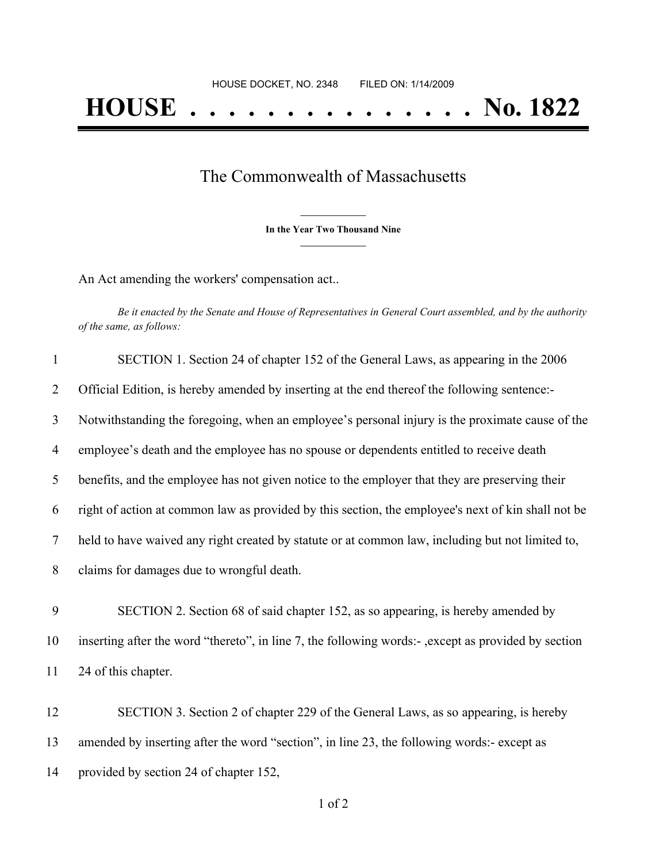## The Commonwealth of Massachusetts

**\_\_\_\_\_\_\_\_\_\_\_\_\_\_\_ In the Year Two Thousand Nine \_\_\_\_\_\_\_\_\_\_\_\_\_\_\_**

An Act amending the workers' compensation act..

Be it enacted by the Senate and House of Representatives in General Court assembled, and by the authority *of the same, as follows:*

| 1  | SECTION 1. Section 24 of chapter 152 of the General Laws, as appearing in the 2006                  |
|----|-----------------------------------------------------------------------------------------------------|
| 2  | Official Edition, is hereby amended by inserting at the end thereof the following sentence:-        |
| 3  | Notwithstanding the foregoing, when an employee's personal injury is the proximate cause of the     |
| 4  | employee's death and the employee has no spouse or dependents entitled to receive death             |
| 5  | benefits, and the employee has not given notice to the employer that they are preserving their      |
| 6  | right of action at common law as provided by this section, the employee's next of kin shall not be  |
| 7  | held to have waived any right created by statute or at common law, including but not limited to,    |
| 8  | claims for damages due to wrongful death.                                                           |
| 9  | SECTION 2. Section 68 of said chapter 152, as so appearing, is hereby amended by                    |
| 10 | inserting after the word "thereto", in line 7, the following words:-, except as provided by section |
| 11 | 24 of this chapter.                                                                                 |

12 SECTION 3. Section 2 of chapter 229 of the General Laws, as so appearing, is hereby 13 amended by inserting after the word "section", in line 23, the following words:- except as 14 provided by section 24 of chapter 152,